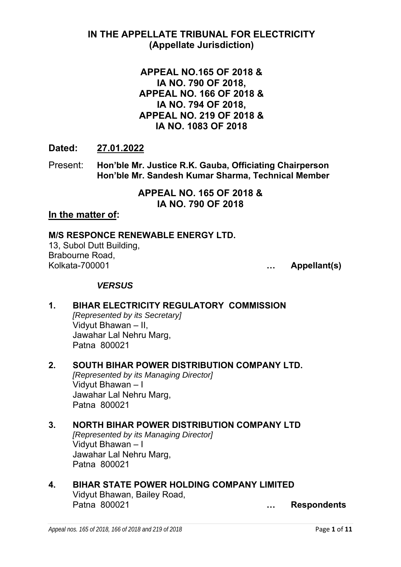## **IN THE APPELLATE TRIBUNAL FOR ELECTRICITY (Appellate Jurisdiction)**

## **APPEAL NO.165 OF 2018 & IA NO. 790 OF 2018, APPEAL NO. 166 OF 2018 & IA NO. 794 OF 2018, APPEAL NO. 219 OF 2018 & IA NO. 1083 OF 2018**

## **Dated: 27.01.2022**

Present: **Hon'ble Mr. Justice R.K. Gauba, Officiating Chairperson Hon'ble Mr. Sandesh Kumar Sharma, Technical Member** 

> **APPEAL NO. 165 OF 2018 & IA NO. 790 OF 2018**

## **In the matter of:**

## **M/S RESPONCE RENEWABLE ENERGY LTD.**

13, Subol Dutt Building, Brabourne Road, Kolkata-700001 **… Appellant(s)** 

## *VERSUS*

- **1. BIHAR ELECTRICITY REGULATORY COMMISSION**  *[Represented by its Secretary]* Vidyut Bhawan – II, Jawahar Lal Nehru Marg, Patna 800021
- **2. SOUTH BIHAR POWER DISTRIBUTION COMPANY LTD.**  *[Represented by its Managing Director]* Vidyut Bhawan – I Jawahar Lal Nehru Marg, Patna 800021

#### **3. NORTH BIHAR POWER DISTRIBUTION COMPANY LTD**  *[Represented by its Managing Director]*  Vidyut Bhawan – I Jawahar Lal Nehru Marg, Patna 800021

**4. BIHAR STATE POWER HOLDING COMPANY LIMITED**  Vidyut Bhawan, Bailey Road, Patna 800021 **… Respondents**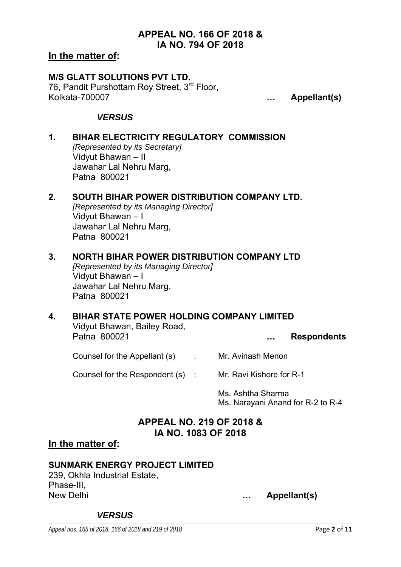## **APPEAL NO. 166 OF 2018 & IA NO. 794 OF 2018**

#### **In the matter of:**

#### **M/S GLATT SOLUTIONS PVT LTD.**  76, Pandit Purshottam Roy Street, 3rd Floor, Kolkata-700007 **… Appellant(s)**

### *VERSUS*

**1. BIHAR ELECTRICITY REGULATORY COMMISSION**  *[Represented by its Secretary]* Vidyut Bhawan – II Jawahar Lal Nehru Marg, Patna 800021

### **2. SOUTH BIHAR POWER DISTRIBUTION COMPANY LTD.**

*[Represented by its Managing Director]* Vidyut Bhawan – I Jawahar Lal Nehru Marg, Patna 800021

### **3. NORTH BIHAR POWER DISTRIBUTION COMPANY LTD**

*[Represented by its Managing Director]*  Vidyut Bhawan – I Jawahar Lal Nehru Marg, Patna 800021

#### **4. BIHAR STATE POWER HOLDING COMPANY LIMITED**

Vidyut Bhawan, Bailey Road, Patna 800021 **… Respondents** 

Counsel for the Appellant (s) : Mr. Avinash Menon

Counsel for the Respondent (s) : Mr. Ravi Kishore for R-1

Ms. Ashtha Sharma Ms. Narayani Anand for R-2 to R-4

# **APPEAL NO. 219 OF 2018 & IA NO. 1083 OF 2018**

#### **In the matter of:**

## **SUNMARK ENERGY PROJECT LIMITED**

239, Okhla Industrial Estate, Phase-III, New Delhi **… Appellant(s)** 

#### *VERSUS*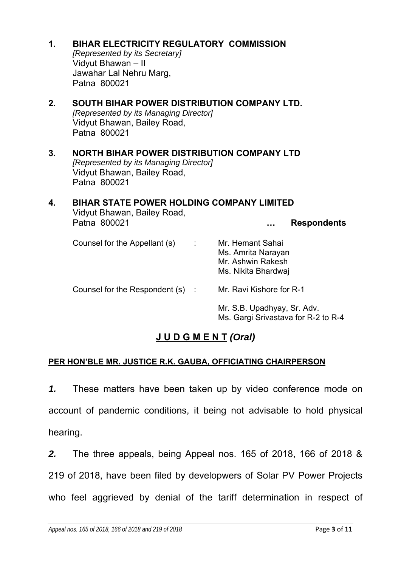**1. BIHAR ELECTRICITY REGULATORY COMMISSION** 

*[Represented by its Secretary]* Vidyut Bhawan – II Jawahar Lal Nehru Marg, Patna 800021

**2. SOUTH BIHAR POWER DISTRIBUTION COMPANY LTD.**  *[Represented by its Managing Director]* Vidyut Bhawan, Bailey Road, Patna 800021

#### **3. NORTH BIHAR POWER DISTRIBUTION COMPANY LTD**  *[Represented by its Managing Director]*  Vidyut Bhawan, Bailey Road, Patna 800021

## **4. BIHAR STATE POWER HOLDING COMPANY LIMITED**  Vidyut Bhawan, Bailey Road, Patna 800021 **… Respondents**  Counsel for the Appellant (s) : Mr. Hemant Sahai Ms. Amrita Narayan Mr. Ashwin Rakesh Ms. Nikita Bhardwaj

Counsel for the Respondent (s) : Mr. Ravi Kishore for R-1

Mr. S.B. Upadhyay, Sr. Adv. Ms. Gargi Srivastava for R-2 to R-4

# **J U D G M E N T** *(Oral)*

# **PER HON'BLE MR. JUSTICE R.K. GAUBA, OFFICIATING CHAIRPERSON**

*1.* These matters have been taken up by video conference mode on account of pandemic conditions, it being not advisable to hold physical hearing.

*2.* The three appeals, being Appeal nos. 165 of 2018, 166 of 2018 & 219 of 2018, have been filed by developwers of Solar PV Power Projects who feel aggrieved by denial of the tariff determination in respect of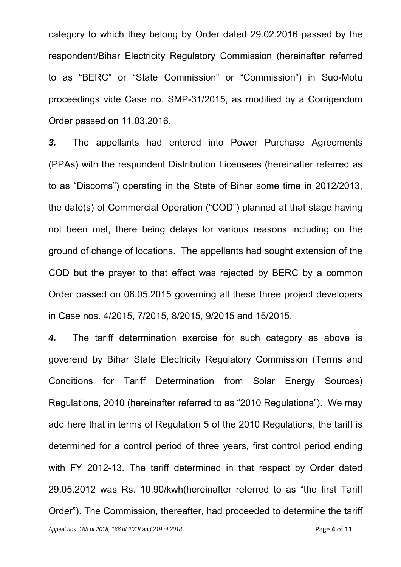category to which they belong by Order dated 29.02.2016 passed by the respondent/Bihar Electricity Regulatory Commission (hereinafter referred to as "BERC" or "State Commission" or "Commission") in Suo-Motu proceedings vide Case no. SMP-31/2015, as modified by a Corrigendum Order passed on 11.03.2016.

*3.* The appellants had entered into Power Purchase Agreements (PPAs) with the respondent Distribution Licensees (hereinafter referred as to as "Discoms") operating in the State of Bihar some time in 2012/2013, the date(s) of Commercial Operation ("COD") planned at that stage having not been met, there being delays for various reasons including on the ground of change of locations. The appellants had sought extension of the COD but the prayer to that effect was rejected by BERC by a common Order passed on 06.05.2015 governing all these three project developers in Case nos. 4/2015, 7/2015, 8/2015, 9/2015 and 15/2015.

*4.* The tariff determination exercise for such category as above is goverend by Bihar State Electricity Regulatory Commission (Terms and Conditions for Tariff Determination from Solar Energy Sources) Regulations, 2010 (hereinafter referred to as "2010 Regulations"). We may add here that in terms of Regulation 5 of the 2010 Regulations, the tariff is determined for a control period of three years, first control period ending with FY 2012-13. The tariff determined in that respect by Order dated 29.05.2012 was Rs. 10.90/kwh(hereinafter referred to as "the first Tariff Order"). The Commission, thereafter, had proceeded to determine the tariff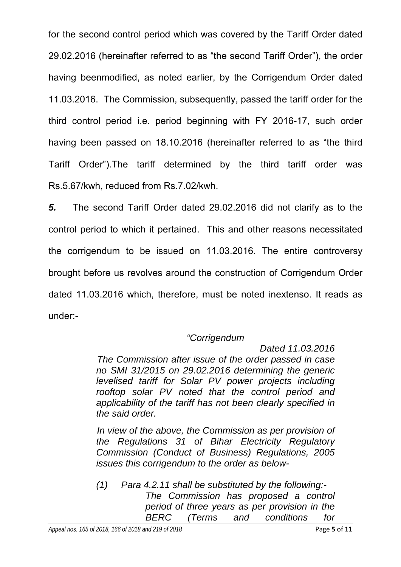for the second control period which was covered by the Tariff Order dated 29.02.2016 (hereinafter referred to as "the second Tariff Order"), the order having beenmodified, as noted earlier, by the Corrigendum Order dated 11.03.2016. The Commission, subsequently, passed the tariff order for the third control period i.e. period beginning with FY 2016-17, such order having been passed on 18.10.2016 (hereinafter referred to as "the third Tariff Order").The tariff determined by the third tariff order was Rs.5.67/kwh, reduced from Rs.7.02/kwh.

*5.* The second Tariff Order dated 29.02.2016 did not clarify as to the control period to which it pertained. This and other reasons necessitated the corrigendum to be issued on 11.03.2016. The entire controversy brought before us revolves around the construction of Corrigendum Order dated 11.03.2016 which, therefore, must be noted inextenso. It reads as under:-

## *"Corrigendum*

*Dated 11.03.2016 The Commission after issue of the order passed in case no SMI 31/2015 on 29.02.2016 determining the generic levelised tariff for Solar PV power projects including rooftop solar PV noted that the control period and applicability of the tariff has not been clearly specified in the said order.* 

 *In view of the above, the Commission as per provision of the Regulations 31 of Bihar Electricity Regulatory Commission (Conduct of Business) Regulations, 2005 issues this corrigendum to the order as below-* 

*(1) Para 4.2.11 shall be substituted by the following:- The Commission has proposed a control period of three years as per provision in the BERC (Terms and conditions for*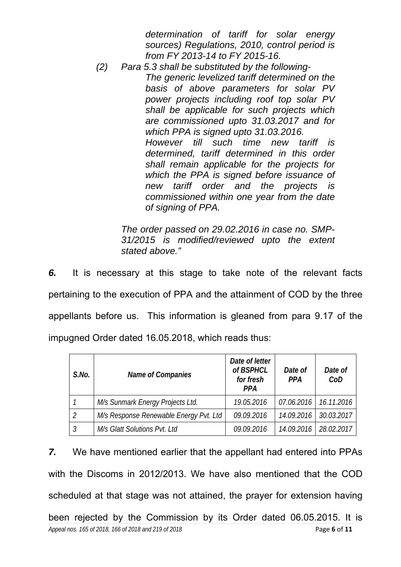*determination of tariff for solar energy sources) Regulations, 2010, control period is from FY 2013-14 to FY 2015-16.* 

*(2) Para 5.3 shall be substituted by the following-The generic levelized tariff determined on the basis of above parameters for solar PV power projects including roof top solar PV shall be applicable for such projects which are commissioned upto 31.03.2017 and for which PPA is signed upto 31.03.2016. However till such time new tariff is determined, tariff determined in this order shall remain applicable for the projects for which the PPA is signed before issuance of new tariff order and the projects is commissioned within one year from the date of signing of PPA.* 

> *The order passed on 29.02.2016 in case no. SMP-31/2015 is modified/reviewed upto the extent stated above."*

*6.* It is necessary at this stage to take note of the relevant facts pertaining to the execution of PPA and the attainment of COD by the three appellants before us. This information is gleaned from para 9.17 of the impugned Order dated 16.05.2018, which reads thus:

| $S$ .No. | <b>Name of Companies</b>               | Date of letter<br>of BSPHCL<br>for fresh<br><b>PPA</b> | Date of<br><b>PPA</b> | Date of<br>CoD |
|----------|----------------------------------------|--------------------------------------------------------|-----------------------|----------------|
|          | M/s Sunmark Energy Projects Ltd.       | 19.05.2016                                             | 07.06.2016            | 16.11.2016     |
|          | M/s Response Renewable Energy Pvt. Ltd | 09.09.2016                                             | 14.09.2016            | 30.03.2017     |
|          | M/s Glatt Solutions Pvt. Ltd           | 09.09.2016                                             | 14.09.2016            | 28.02.2017     |

*Appeal nos. 165 of 2018, 166 of 2018 and 219 of 2018* Page **6** of **11** *7.* We have mentioned earlier that the appellant had entered into PPAs with the Discoms in 2012/2013. We have also mentioned that the COD scheduled at that stage was not attained, the prayer for extension having been rejected by the Commission by its Order dated 06.05.2015. It is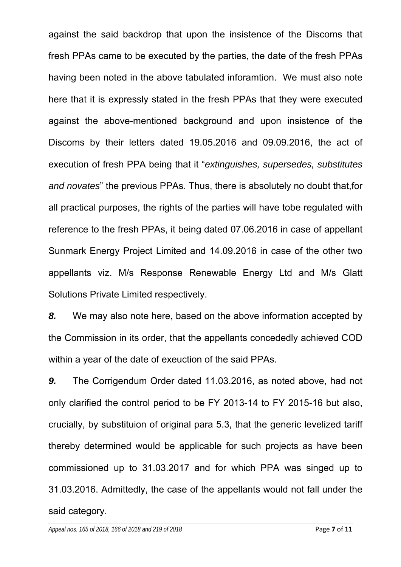against the said backdrop that upon the insistence of the Discoms that fresh PPAs came to be executed by the parties, the date of the fresh PPAs having been noted in the above tabulated inforamtion. We must also note here that it is expressly stated in the fresh PPAs that they were executed against the above-mentioned background and upon insistence of the Discoms by their letters dated 19.05.2016 and 09.09.2016, the act of execution of fresh PPA being that it "*extinguishes, supersedes, substitutes and novates*" the previous PPAs. Thus, there is absolutely no doubt that,for all practical purposes, the rights of the parties will have tobe regulated with reference to the fresh PPAs, it being dated 07.06.2016 in case of appellant Sunmark Energy Project Limited and 14.09.2016 in case of the other two appellants viz. M/s Response Renewable Energy Ltd and M/s Glatt Solutions Private Limited respectively.

*8.* We may also note here, based on the above information accepted by the Commission in its order, that the appellants concededly achieved COD within a year of the date of exeuction of the said PPAs.

*9.* The Corrigendum Order dated 11.03.2016, as noted above, had not only clarified the control period to be FY 2013-14 to FY 2015-16 but also, crucially, by substituion of original para 5.3, that the generic levelized tariff thereby determined would be applicable for such projects as have been commissioned up to 31.03.2017 and for which PPA was singed up to 31.03.2016. Admittedly, the case of the appellants would not fall under the said category.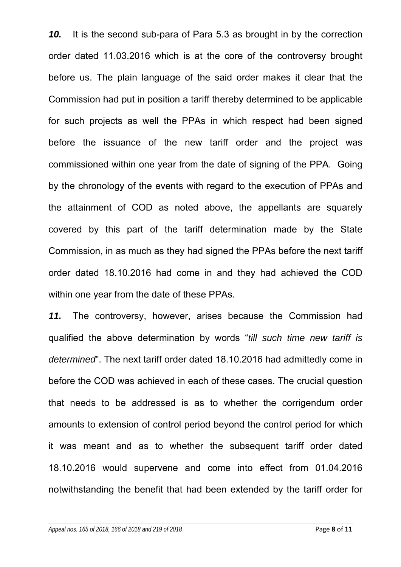*10.* It is the second sub-para of Para 5.3 as brought in by the correction order dated 11.03.2016 which is at the core of the controversy brought before us. The plain language of the said order makes it clear that the Commission had put in position a tariff thereby determined to be applicable for such projects as well the PPAs in which respect had been signed before the issuance of the new tariff order and the project was commissioned within one year from the date of signing of the PPA. Going by the chronology of the events with regard to the execution of PPAs and the attainment of COD as noted above, the appellants are squarely covered by this part of the tariff determination made by the State Commission, in as much as they had signed the PPAs before the next tariff order dated 18.10.2016 had come in and they had achieved the COD within one year from the date of these PPAs.

*11.* The controversy, however, arises because the Commission had qualified the above determination by words "*till such time new tariff is determined*". The next tariff order dated 18.10.2016 had admittedly come in before the COD was achieved in each of these cases. The crucial question that needs to be addressed is as to whether the corrigendum order amounts to extension of control period beyond the control period for which it was meant and as to whether the subsequent tariff order dated 18.10.2016 would supervene and come into effect from 01.04.2016 notwithstanding the benefit that had been extended by the tariff order for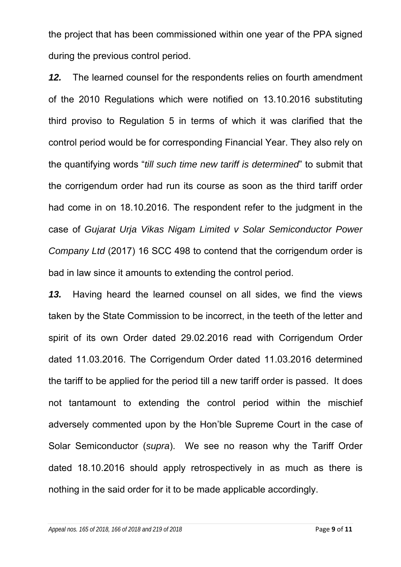the project that has been commissioned within one year of the PPA signed during the previous control period.

*12.* The learned counsel for the respondents relies on fourth amendment of the 2010 Regulations which were notified on 13.10.2016 substituting third proviso to Regulation 5 in terms of which it was clarified that the control period would be for corresponding Financial Year. They also rely on the quantifying words "*till such time new tariff is determined*" to submit that the corrigendum order had run its course as soon as the third tariff order had come in on 18.10.2016. The respondent refer to the judgment in the case of *Gujarat Urja Vikas Nigam Limited v Solar Semiconductor Power Company Ltd* (2017) 16 SCC 498 to contend that the corrigendum order is bad in law since it amounts to extending the control period.

*13.* Having heard the learned counsel on all sides, we find the views taken by the State Commission to be incorrect, in the teeth of the letter and spirit of its own Order dated 29.02.2016 read with Corrigendum Order dated 11.03.2016. The Corrigendum Order dated 11.03.2016 determined the tariff to be applied for the period till a new tariff order is passed. It does not tantamount to extending the control period within the mischief adversely commented upon by the Hon'ble Supreme Court in the case of Solar Semiconductor (*supra*). We see no reason why the Tariff Order dated 18.10.2016 should apply retrospectively in as much as there is nothing in the said order for it to be made applicable accordingly.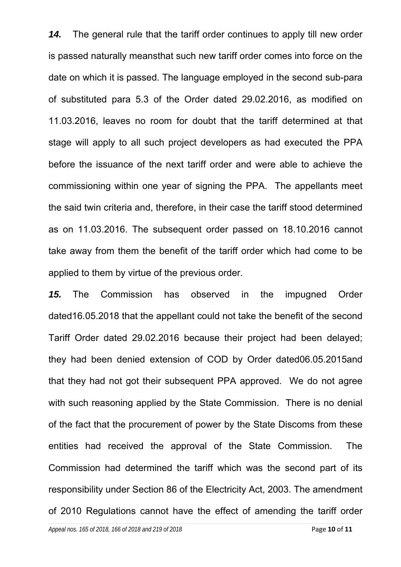*14.* The general rule that the tariff order continues to apply till new order is passed naturally meansthat such new tariff order comes into force on the date on which it is passed. The language employed in the second sub-para of substituted para 5.3 of the Order dated 29.02.2016, as modified on 11.03.2016, leaves no room for doubt that the tariff determined at that stage will apply to all such project developers as had executed the PPA before the issuance of the next tariff order and were able to achieve the commissioning within one year of signing the PPA. The appellants meet the said twin criteria and, therefore, in their case the tariff stood determined as on 11.03.2016. The subsequent order passed on 18.10.2016 cannot take away from them the benefit of the tariff order which had come to be applied to them by virtue of the previous order.

*15.* The Commission has observed in the impugned Order dated16.05.2018 that the appellant could not take the benefit of the second Tariff Order dated 29.02.2016 because their project had been delayed; they had been denied extension of COD by Order dated06.05.2015and that they had not got their subsequent PPA approved. We do not agree with such reasoning applied by the State Commission. There is no denial of the fact that the procurement of power by the State Discoms from these entities had received the approval of the State Commission. The Commission had determined the tariff which was the second part of its responsibility under Section 86 of the Electricity Act, 2003. The amendment of 2010 Regulations cannot have the effect of amending the tariff order